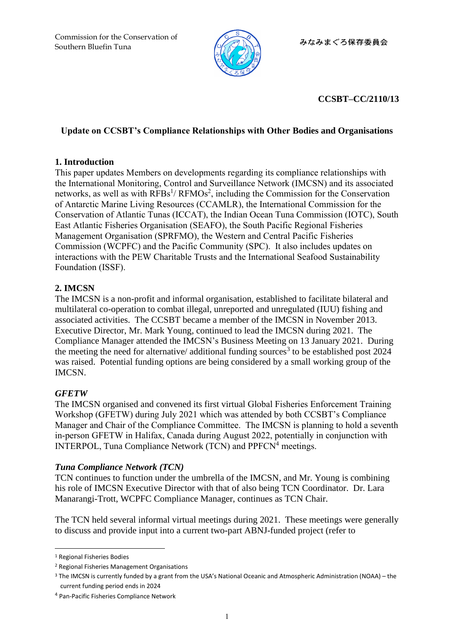

## **CCSBT–CC/2110/13**

### **Update on CCSBT's Compliance Relationships with Other Bodies and Organisations**

### **1. Introduction**

This paper updates Members on developments regarding its compliance relationships with the International Monitoring, Control and Surveillance Network (IMCSN) and its associated networks, as well as with  $RFBs<sup>1</sup>/RFMOs<sup>2</sup>$ , including the Commission for the Conservation of Antarctic Marine Living Resources (CCAMLR), the International Commission for the Conservation of Atlantic Tunas (ICCAT), the Indian Ocean Tuna Commission (IOTC), South East Atlantic Fisheries Organisation (SEAFO), the South Pacific Regional Fisheries Management Organisation (SPRFMO), the Western and Central Pacific Fisheries Commission (WCPFC) and the Pacific Community (SPC). It also includes updates on interactions with the PEW Charitable Trusts and the International Seafood Sustainability Foundation (ISSF).

## **2. IMCSN**

The IMCSN is a non-profit and informal organisation, established to facilitate bilateral and multilateral co-operation to combat illegal, unreported and unregulated (IUU) fishing and associated activities. The CCSBT became a member of the IMCSN in November 2013. Executive Director, Mr. Mark Young, continued to lead the IMCSN during 2021. The Compliance Manager attended the IMCSN's Business Meeting on 13 January 2021. During the meeting the need for alternative/ additional funding sources<sup>3</sup> to be established post  $2024$ was raised. Potential funding options are being considered by a small working group of the IMCSN.

### *GFETW*

The IMCSN organised and convened its first virtual Global Fisheries Enforcement Training Workshop (GFETW) during July 2021 which was attended by both CCSBT's Compliance Manager and Chair of the Compliance Committee. The IMCSN is planning to hold a seventh in-person GFETW in Halifax, Canada during August 2022, potentially in conjunction with INTERPOL, Tuna Compliance Network (TCN) and PPFCN<sup>4</sup> meetings.

### *Tuna Compliance Network (TCN)*

TCN continues to function under the umbrella of the IMCSN, and Mr. Young is combining his role of IMCSN Executive Director with that of also being TCN Coordinator. Dr. Lara Manarangi-Trott, WCPFC Compliance Manager, continues as TCN Chair.

The TCN held several informal virtual meetings during 2021. These meetings were generally to discuss and provide input into a current two-part ABNJ-funded project (refer to

<sup>1</sup> Regional Fisheries Bodies

<sup>2</sup> Regional Fisheries Management Organisations

<sup>3</sup> The IMCSN is currently funded by a grant from the USA's National Oceanic and Atmospheric Administration (NOAA) – the current funding period ends in 2024

<sup>4</sup> Pan-Pacific Fisheries Compliance Network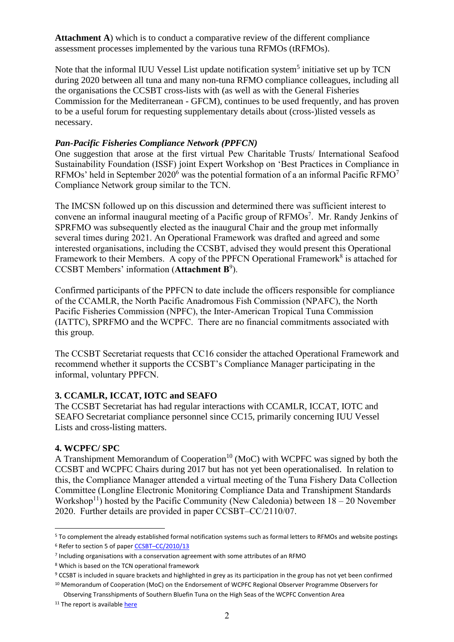**Attachment A**) which is to conduct a comparative review of the different compliance assessment processes implemented by the various tuna RFMOs (tRFMOs).

Note that the informal IUU Vessel List update notification system<sup>5</sup> initiative set up by TCN during 2020 between all tuna and many non-tuna RFMO compliance colleagues, including all the organisations the CCSBT cross-lists with (as well as with the General Fisheries Commission for the Mediterranean - GFCM), continues to be used frequently, and has proven to be a useful forum for requesting supplementary details about (cross-)listed vessels as necessary.

### *Pan-Pacific Fisheries Compliance Network (PPFCN)*

<span id="page-1-0"></span>One suggestion that arose at the first virtual Pew Charitable Trusts/ International Seafood Sustainability Foundation (ISSF) joint Expert Workshop on 'Best Practices in Compliance in RFMOs' held in September 2020<sup>6</sup> was the potential formation of a an informal Pacific RFMO<sup>7</sup> Compliance Network group similar to the TCN.

The IMCSN followed up on this discussion and determined there was sufficient interest to convene an informal inaugural meeting of a Pacific group of RFMOs<sup>[7](#page-1-0)</sup>. Mr. Randy Jenkins of SPRFMO was subsequently elected as the inaugural Chair and the group met informally several times during 2021. An Operational Framework was drafted and agreed and some interested organisations, including the CCSBT, advised they would present this Operational Framework to their Members. A copy of the PPFCN Operational Framework<sup>8</sup> is attached for CCSBT Members' information (**Attachment B** 9 ).

Confirmed participants of the PPFCN to date include the officers responsible for compliance of the CCAMLR, the North Pacific Anadromous Fish Commission (NPAFC), the North Pacific Fisheries Commission (NPFC), the Inter-American Tropical Tuna Commission (IATTC), SPRFMO and the WCPFC. There are no financial commitments associated with this group.

The CCSBT Secretariat requests that CC16 consider the attached Operational Framework and recommend whether it supports the CCSBT's Compliance Manager participating in the informal, voluntary PPFCN.

### **3. CCAMLR, ICCAT, IOTC and SEAFO**

The CCSBT Secretariat has had regular interactions with CCAMLR, ICCAT, IOTC and SEAFO Secretariat compliance personnel since CC15, primarily concerning IUU Vessel Lists and cross-listing matters.

### **4. WCPFC/ SPC**

A Transhipment Memorandum of Cooperation<sup>10</sup> (MoC) with WCPFC was signed by both the CCSBT and WCPFC Chairs during 2017 but has not yet been operationalised. In relation to this, the Compliance Manager attended a virtual meeting of the Tuna Fishery Data Collection Committee (Longline Electronic Monitoring Compliance Data and Transhipment Standards Workshop<sup>11</sup>) hosted by the Pacific Community (New Caledonia) between  $18 - 20$  November 2020. Further details are provided in paper CCSBT–CC/2110/07.

<sup>5</sup> To complement the already established formal notification systems such as formal letters to RFMOs and website postings <sup>6</sup> Refer to section 5 of paper CCSBT-[CC/2010/13](https://ccsbt.sharepoint.com/staff/Susie/CCSBT28/CC16/13%20-%20Compliance%20Relationships%20with%20Other%20Organisations/Bob/CCSBT–CC/2010/13)

<sup>7</sup> Including organisations with a conservation agreement with some attributes of an RFMO

<sup>8</sup> Which is based on the TCN operational framework

<sup>9</sup> CCSBT is included in square brackets and highlighted in grey as its participation in the group has not yet been confirmed <sup>10</sup> Memorandum of Cooperation (MoC) on the Endorsement of WCPFC Regional Observer Programme Observers for

Observing Transshipments of Southern Bluefin Tuna on the High Seas of the WCPFC Convention Area

<sup>&</sup>lt;sup>11</sup> The report is available [here](https://oceanfish.spc.int/en/meetingsworkshops/dcc/512-ll-em-compliance-data-and-transhipment-standards-workshop-2020)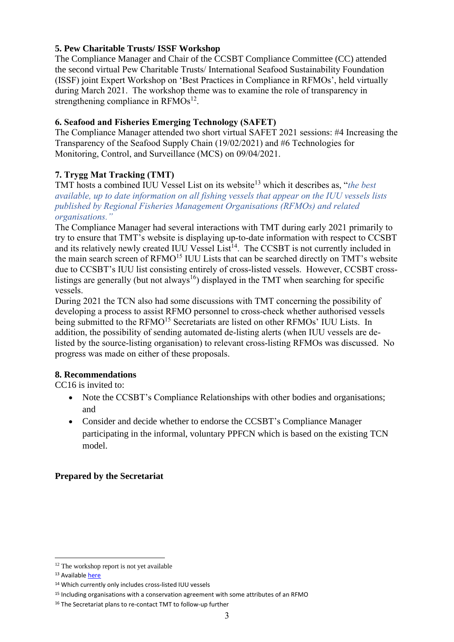### **5. Pew Charitable Trusts/ ISSF Workshop**

The Compliance Manager and Chair of the CCSBT Compliance Committee (CC) attended the second virtual Pew Charitable Trusts/ International Seafood Sustainability Foundation (ISSF) joint Expert Workshop on 'Best Practices in Compliance in RFMOs', held virtually during March 2021. The workshop theme was to examine the role of transparency in strengthening compliance in  $RFMOs^{12}$ .

### **6. Seafood and Fisheries Emerging Technology (SAFET)**

The Compliance Manager attended two short virtual SAFET 2021 sessions: #4 Increasing the Transparency of the Seafood Supply Chain (19/02/2021) and #6 Technologies for Monitoring, Control, and Surveillance (MCS) on 09/04/2021.

## **7. Trygg Mat Tracking (TMT)**

TMT hosts a combined IUU Vessel List on its website<sup>13</sup> which it describes as, "*the best available, up to date information on all fishing vessels that appear on the IUU vessels lists published by Regional Fisheries Management Organisations (RFMOs) and related organisations."*

<span id="page-2-0"></span>The Compliance Manager had several interactions with TMT during early 2021 primarily to try to ensure that TMT's website is displaying up-to-date information with respect to CCSBT and its relatively newly created IUU Vessel List<sup>14</sup>. The CCSBT is not currently included in the main search screen of RFMO<sup>15</sup> IUU Lists that can be searched directly on TMT's website due to CCSBT's IUU list consisting entirely of cross-listed vessels. However, CCSBT crosslistings are generally (but not always<sup>16</sup>) displayed in the TMT when searching for specific vessels.

During 2021 the TCN also had some discussions with TMT concerning the possibility of developing a process to assist RFMO personnel to cross-check whether authorised vessels being submitted to the RFMO<sup>[15](#page-2-0)</sup> Secretariats are listed on other RFMOs' IUU Lists. In addition, the possibility of sending automated de-listing alerts (when IUU vessels are delisted by the source-listing organisation) to relevant cross-listing RFMOs was discussed. No progress was made on either of these proposals.

### **8. Recommendations**

CC16 is invited to:

- Note the CCSBT's Compliance Relationships with other bodies and organisations; and
- Consider and decide whether to endorse the CCSBT's Compliance Manager participating in the informal, voluntary PPFCN which is based on the existing TCN model.

## **Prepared by the Secretariat**

<sup>&</sup>lt;sup>12</sup> The workshop report is not yet available

<sup>13</sup> Availabl[e here](https://www.iuu-vessels.org/)

<sup>14</sup> Which currently only includes cross-listed IUU vessels

<sup>15</sup> Including organisations with a conservation agreement with some attributes of an RFMO

<sup>16</sup> The Secretariat plans to re-contact TMT to follow-up further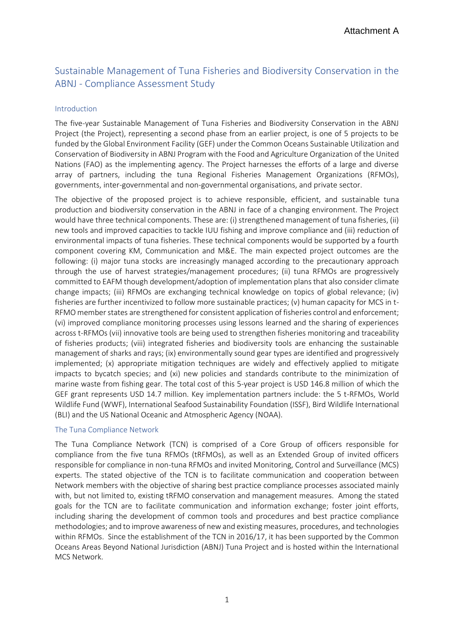## Sustainable Management of Tuna Fisheries and Biodiversity Conservation in the ABNJ - Compliance Assessment Study

#### Introduction

The five-year Sustainable Management of Tuna Fisheries and Biodiversity Conservation in the ABNJ Project (the Project), representing a second phase from an earlier project, is one of 5 projects to be funded by the Global Environment Facility (GEF) under the Common Oceans Sustainable Utilization and Conservation of Biodiversity in ABNJ Program with the Food and Agriculture Organization of the United Nations (FAO) as the implementing agency. The Project harnesses the efforts of a large and diverse array of partners, including the tuna Regional Fisheries Management Organizations (RFMOs), governments, inter-governmental and non-governmental organisations, and private sector.

The objective of the proposed project is to achieve responsible, efficient, and sustainable tuna production and biodiversity conservation in the ABNJ in face of a changing environment. The Project would have three technical components. These are: (i) strengthened management of tuna fisheries, (ii) new tools and improved capacities to tackle IUU fishing and improve compliance and (iii) reduction of environmental impacts of tuna fisheries. These technical components would be supported by a fourth component covering KM, Communication and M&E. The main expected project outcomes are the following: (i) major tuna stocks are increasingly managed according to the precautionary approach through the use of harvest strategies/management procedures; (ii) tuna RFMOs are progressively committed to EAFM though development/adoption of implementation plans that also consider climate change impacts; (iii) RFMOs are exchanging technical knowledge on topics of global relevance; (iv) fisheries are further incentivized to follow more sustainable practices; (v) human capacity for MCS in t-RFMO member states are strengthened for consistent application of fisheries control and enforcement; (vi) improved compliance monitoring processes using lessons learned and the sharing of experiences across t-RFMOs (vii) innovative tools are being used to strengthen fisheries monitoring and traceability of fisheries products; (viii) integrated fisheries and biodiversity tools are enhancing the sustainable management of sharks and rays; (ix) environmentally sound gear types are identified and progressively implemented; (x) appropriate mitigation techniques are widely and effectively applied to mitigate impacts to bycatch species; and (xi) new policies and standards contribute to the minimization of marine waste from fishing gear. The total cost of this 5-year project is USD 146.8 million of which the GEF grant represents USD 14.7 million. Key implementation partners include: the 5 t-RFMOs, World Wildlife Fund (WWF), International Seafood Sustainability Foundation (ISSF), Bird Wildlife International (BLI) and the US National Oceanic and Atmospheric Agency (NOAA).

#### The Tuna Compliance Network

The Tuna Compliance Network (TCN) is comprised of a Core Group of officers responsible for compliance from the five tuna RFMOs (tRFMOs), as well as an Extended Group of invited officers responsible for compliance in non-tuna RFMOs and invited Monitoring, Control and Surveillance (MCS) experts. The stated objective of the TCN is to facilitate communication and cooperation between Network members with the objective of sharing best practice compliance processes associated mainly with, but not limited to, existing tRFMO conservation and management measures. Among the stated goals for the TCN are to facilitate communication and information exchange; foster joint efforts, including sharing the development of common tools and procedures and best practice compliance methodologies; and to improve awareness of new and existing measures, procedures, and technologies within RFMOs. Since the establishment of the TCN in 2016/17, it has been supported by the Common Oceans Areas Beyond National Jurisdiction (ABNJ) Tuna Project and is hosted within the International MCS Network.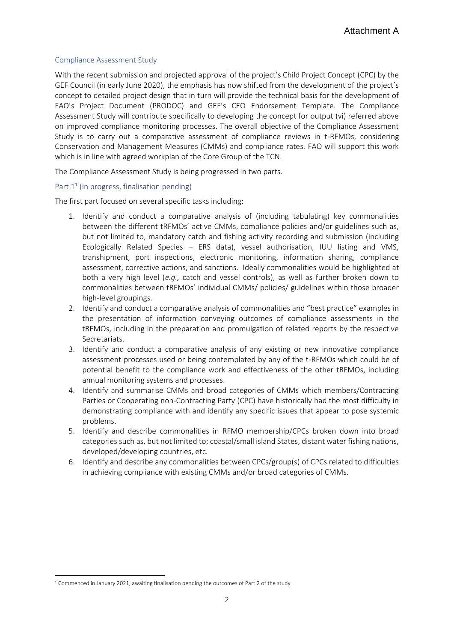#### Compliance Assessment Study

With the recent submission and projected approval of the project's Child Project Concept (CPC) by the GEF Council (in early June 2020), the emphasis has now shifted from the development of the project's concept to detailed project design that in turn will provide the technical basis for the development of FAO's Project Document (PRODOC) and GEF's CEO Endorsement Template. The Compliance Assessment Study will contribute specifically to developing the concept for output (vi) referred above on improved compliance monitoring processes. The overall objective of the Compliance Assessment Study is to carry out a comparative assessment of compliance reviews in t-RFMOs, considering Conservation and Management Measures (CMMs) and compliance rates. FAO will support this work which is in line with agreed workplan of the Core Group of the TCN.

The Compliance Assessment Study is being progressed in two parts.

#### Part  $1^1$  (in progress, finalisation pending)

The first part focused on several specific tasks including:

- 1. Identify and conduct a comparative analysis of (including tabulating) key commonalities between the different tRFMOs' active CMMs, compliance policies and/or guidelines such as, but not limited to, mandatory catch and fishing activity recording and submission (including Ecologically Related Species – ERS data), vessel authorisation, IUU listing and VMS, transhipment, port inspections, electronic monitoring, information sharing, compliance assessment, corrective actions, and sanctions. Ideally commonalities would be highlighted at both a very high level (*e.g.,* catch and vessel controls), as well as further broken down to commonalities between tRFMOs' individual CMMs/ policies/ guidelines within those broader high-level groupings.
- 2. Identify and conduct a comparative analysis of commonalities and "best practice" examples in the presentation of information conveying outcomes of compliance assessments in the tRFMOs, including in the preparation and promulgation of related reports by the respective Secretariats.
- 3. Identify and conduct a comparative analysis of any existing or new innovative compliance assessment processes used or being contemplated by any of the t-RFMOs which could be of potential benefit to the compliance work and effectiveness of the other tRFMOs, including annual monitoring systems and processes.
- 4. Identify and summarise CMMs and broad categories of CMMs which members/Contracting Parties or Cooperating non-Contracting Party (CPC) have historically had the most difficulty in demonstrating compliance with and identify any specific issues that appear to pose systemic problems.
- 5. Identify and describe commonalities in RFMO membership/CPCs broken down into broad categories such as, but not limited to; coastal/small island States, distant water fishing nations, developed/developing countries, etc.
- 6. Identify and describe any commonalities between CPCs/group(s) of CPCs related to difficulties in achieving compliance with existing CMMs and/or broad categories of CMMs.

<sup>&</sup>lt;sup>1</sup> Commenced in January 2021, awaiting finalisation pending the outcomes of Part 2 of the study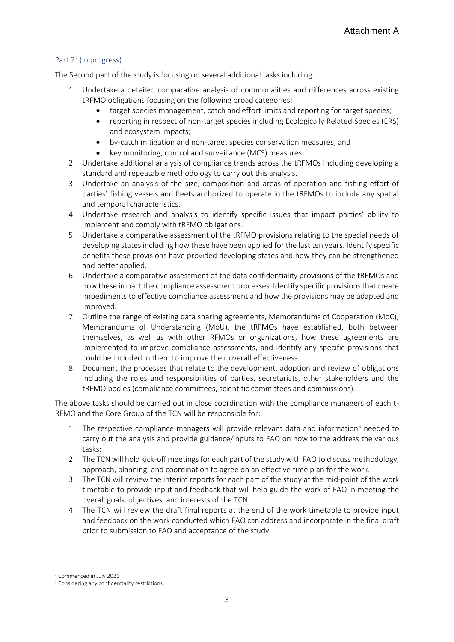#### Part 2<sup>2</sup> (in progress)

The Second part of the study is focusing on several additional tasks including:

- 1. Undertake a detailed comparative analysis of commonalities and differences across existing tRFMO obligations focusing on the following broad categories:
	- target species management, catch and effort limits and reporting for target species;
	- reporting in respect of non-target species including Ecologically Related Species (ERS) and ecosystem impacts;
	- by-catch mitigation and non-target species conservation measures; and
	- key monitoring, control and surveillance (MCS) measures.
- 2. Undertake additional analysis of compliance trends across the tRFMOs including developing a standard and repeatable methodology to carry out this analysis.
- 3. Undertake an analysis of the size, composition and areas of operation and fishing effort of parties' fishing vessels and fleets authorized to operate in the tRFMOs to include any spatial and temporal characteristics.
- 4. Undertake research and analysis to identify specific issues that impact parties' ability to implement and comply with tRFMO obligations.
- 5. Undertake a comparative assessment of the tRFMO provisions relating to the special needs of developing states including how these have been applied for the last ten years. Identify specific benefits these provisions have provided developing states and how they can be strengthened and better applied.
- 6. Undertake a comparative assessment of the data confidentiality provisions of the tRFMOs and how these impact the compliance assessment processes. Identify specific provisions that create impediments to effective compliance assessment and how the provisions may be adapted and improved.
- 7. Outline the range of existing data sharing agreements, Memorandums of Cooperation (MoC), Memorandums of Understanding (MoU), the tRFMOs have established, both between themselves, as well as with other RFMOs or organizations, how these agreements are implemented to improve compliance assessments, and identify any specific provisions that could be included in them to improve their overall effectiveness.
- 8. Document the processes that relate to the development, adoption and review of obligations including the roles and responsibilities of parties, secretariats, other stakeholders and the tRFMO bodies (compliance committees, scientific committees and commissions).

The above tasks should be carried out in close coordination with the compliance managers of each t-RFMO and the Core Group of the TCN will be responsible for:

- 1. The respective compliance managers will provide relevant data and information<sup>3</sup> needed to carry out the analysis and provide guidance/inputs to FAO on how to the address the various tasks;
- 2. The TCN will hold kick-off meetings for each part of the study with FAO to discuss methodology, approach, planning, and coordination to agree on an effective time plan for the work.
- 3. The TCN will review the interim reports for each part of the study at the mid-point of the work timetable to provide input and feedback that will help guide the work of FAO in meeting the overall goals, objectives, and interests of the TCN.
- 4. The TCN will review the draft final reports at the end of the work timetable to provide input and feedback on the work conducted which FAO can address and incorporate in the final draft prior to submission to FAO and acceptance of the study.

<sup>2</sup> Commenced in July 2021

<sup>&</sup>lt;sup>3</sup> Considering any confidentiality restrictions.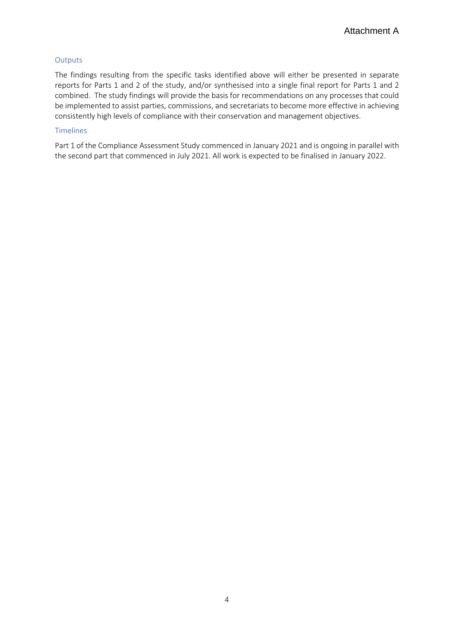#### **Outputs**

The findings resulting from the specific tasks identified above will either be presented in separate reports for Parts 1 and 2 of the study, and/or synthesised into a single final report for Parts 1 and 2 combined. The study findings will provide the basis for recommendations on any processes that could be implemented to assist parties, commissions, and secretariats to become more effective in achieving consistently high levels of compliance with their conservation and management objectives.

#### Timelines

Part 1 of the Compliance Assessment Study commenced in January 2021 and is ongoing in parallel with the second part that commenced in July 2021. All work is expected to be finalised in January 2022.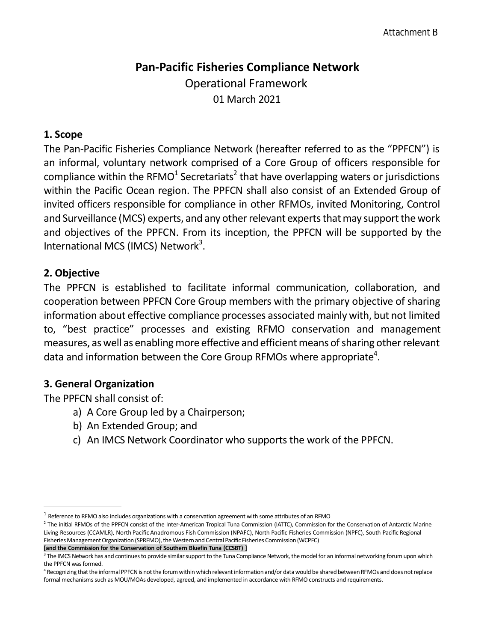# **Pan-Pacific Fisheries Compliance Network** Operational Framework 01 March 2021

## **1. Scope**

The Pan-Pacific Fisheries Compliance Network (hereafter referred to as the "PPFCN") is an informal, voluntary network comprised of a Core Group of officers responsible for compliance within the RFMO<sup>1</sup> Secretariats<sup>2</sup> that have overlapping waters or jurisdictions within the Pacific Ocean region. The PPFCN shall also consist of an Extended Group of invited officers responsible for compliance in other RFMOs, invited Monitoring, Control and Surveillance (MCS) experts, and any other relevant experts that may support the work and objectives of the PPFCN. From its inception, the PPFCN will be supported by the International MCS (IMCS) Network<sup>3</sup>.

## **2. Objective**

The PPFCN is established to facilitate informal communication, collaboration, and cooperation between PPFCN Core Group members with the primary objective of sharing information about effective compliance processes associated mainly with, but not limited to, "best practice" processes and existing RFMO conservation and management measures, as well as enabling more effective and efficient means of sharing other relevant data and information between the Core Group RFMOs where appropriate<sup>4</sup>.

## **3. General Organization**

The PPFCN shall consist of:

- a) A Core Group led by a Chairperson;
- b) An Extended Group; and
- c) An IMCS Network Coordinator who supports the work of the PPFCN.

**[and the Commission for the Conservation of Southern Bluefin Tuna (CCSBT) ]**

 $^{\rm 1}$  Reference to RFMO also includes organizations with a conservation agreement with some attributes of an RFMO

<sup>2</sup> The initial RFMOs of the PPFCN consist of the Inter-American Tropical Tuna Commission (IATTC), Commission for the Conservation of Antarctic Marine Living Resources (CCAMLR), North Pacific Anadromous Fish Commission (NPAFC), North Pacific Fisheries Commission (NPFC), South Pacific Regional Fisheries Management Organization (SPRFMO), the Western and Central Pacific Fisheries Commission (WCPFC)

 $^3$  The IMCS Network has and continues to provide similar support to the Tuna Compliance Network, the model for an informal networking forum upon which the PPFCN was formed.

<sup>&</sup>lt;sup>4</sup> Recognizing that the informal PPFCN is not the forum within which relevant information and/or data would be shared between RFMOs and does not replace formal mechanisms such as MOU/MOAs developed, agreed, and implemented in accordance with RFMO constructs and requirements.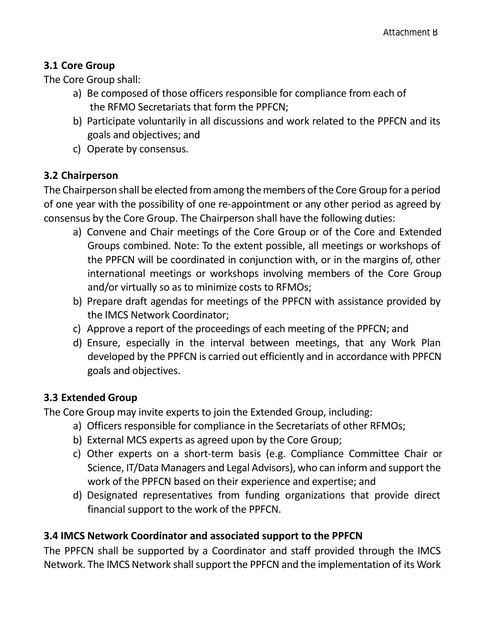## **3.1 Core Group**

The Core Group shall:

- a) Be composed of those officers responsible for compliance from each of the RFMO Secretariats that form the PPFCN;
- b) Participate voluntarily in all discussions and work related to the PPFCN and its goals and objectives; and
- c) Operate by consensus.

## **3.2 Chairperson**

The Chairperson shall be elected from among the members of the Core Group for a period of one year with the possibility of one re-appointment or any other period as agreed by consensus by the Core Group. The Chairperson shall have the following duties:

- a) Convene and Chair meetings of the Core Group or of the Core and Extended Groups combined. Note: To the extent possible, all meetings or workshops of the PPFCN will be coordinated in conjunction with, or in the margins of, other international meetings or workshops involving members of the Core Group and/or virtually so as to minimize costs to RFMOs;
- b) Prepare draft agendas for meetings of the PPFCN with assistance provided by the IMCS Network Coordinator;
- c) Approve a report of the proceedings of each meeting of the PPFCN; and
- d) Ensure, especially in the interval between meetings, that any Work Plan developed by the PPFCN is carried out efficiently and in accordance with PPFCN goals and objectives.

## **3.3 Extended Group**

The Core Group may invite experts to join the Extended Group, including:

- a) Officers responsible for compliance in the Secretariats of other RFMOs;
- b) External MCS experts as agreed upon by the Core Group;
- c) Other experts on a short-term basis (e.g. Compliance Committee Chair or Science, IT/Data Managers and Legal Advisors), who can inform and support the work of the PPFCN based on their experience and expertise; and
- d) Designated representatives from funding organizations that provide direct financial support to the work of the PPFCN.

## **3.4 IMCS Network Coordinator and associated support to the PPFCN**

The PPFCN shall be supported by a Coordinator and staff provided through the IMCS Network. The IMCS Network shall support the PPFCN and the implementation of its Work